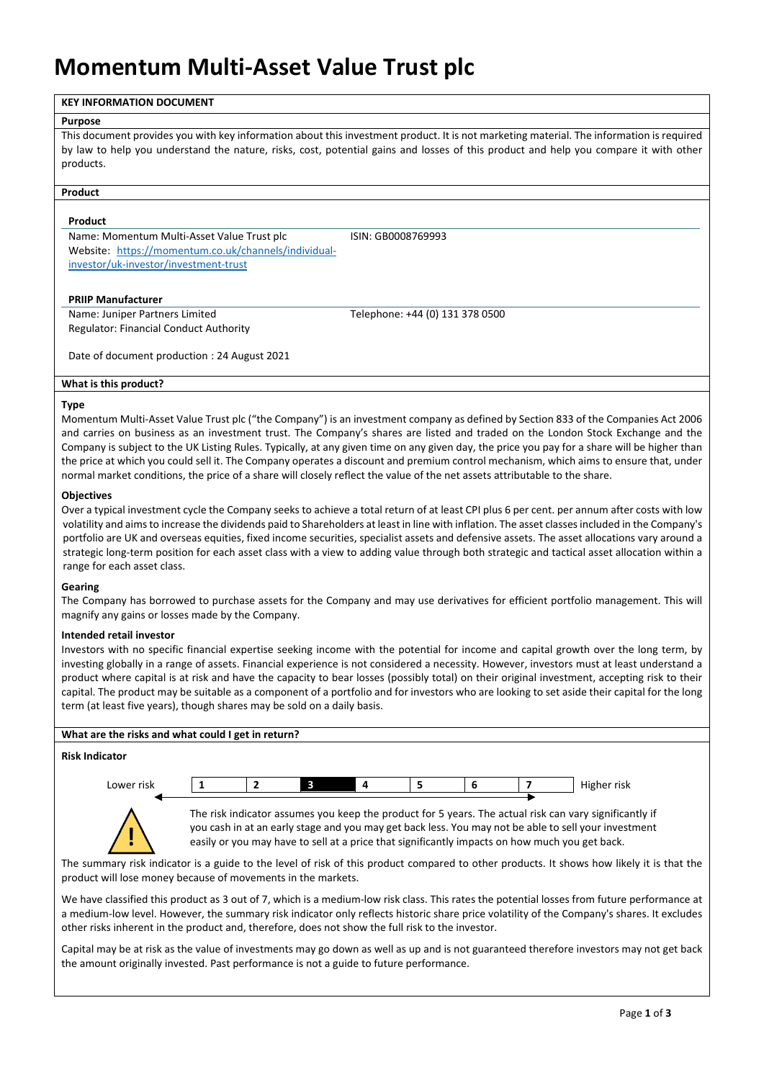# **Momentum Multi-Asset Value Trust plc**

# **KEY INFORMATION DOCUMENT**

#### **Purpose**

This document provides you with key information about this investment product. It is not marketing material. The information is required by law to help you understand the nature, risks, cost, potential gains and losses of this product and help you compare it with other products.

# **Product**

### **Product**

Name: Momentum Multi-Asset Value Trust plc ISIN: GB0008769993 Website: [https://momentum.co.uk/channels/individual](https://momentum.co.uk/channels/individual-investor/uk-investor/investment-trust)[investor/uk-investor/investment-trust](https://momentum.co.uk/channels/individual-investor/uk-investor/investment-trust)

### **PRIIP Manufacturer**

Name: Juniper Partners Limited Telephone: +44 (0) 131 378 0500 Regulator: Financial Conduct Authority

Date of document production : 24 August 2021

### **What is this product?**

### **Type**

Momentum Multi-Asset Value Trust plc ("the Company") is an investment company as defined by Section 833 of the Companies Act 2006 and carries on business as an investment trust. The Company's shares are listed and traded on the London Stock Exchange and the Company is subject to the UK Listing Rules. Typically, at any given time on any given day, the price you pay for a share will be higher than the price at which you could sell it. The Company operates a discount and premium control mechanism, which aims to ensure that, under normal market conditions, the price of a share will closely reflect the value of the net assets attributable to the share.

### **Objectives**

Over a typical investment cycle the Company seeks to achieve a total return of at least CPI plus 6 per cent. per annum after costs with low volatility and aimsto increase the dividends paid to Shareholders at least in line with inflation. The asset classes included in the Company's portfolio are UK and overseas equities, fixed income securities, specialist assets and defensive assets. The asset allocations vary around a strategic long-term position for each asset class with a view to adding value through both strategic and tactical asset allocation within a range for each asset class.

# **Gearing**

The Company has borrowed to purchase assets for the Company and may use derivatives for efficient portfolio management. This will magnify any gains or losses made by the Company.

# **Intended retail investor**

Investors with no specific financial expertise seeking income with the potential for income and capital growth over the long term, by investing globally in a range of assets. Financial experience is not considered a necessity. However, investors must at least understand a product where capital is at risk and have the capacity to bear losses (possibly total) on their original investment, accepting risk to their capital. The product may be suitable as a component of a portfolio and for investors who are looking to set aside their capital for the long term (at least five years), though shares may be sold on a daily basis.

| What are the risks and what could I get in return? |                                                                                                                                                                                                                |  |   |    |  |   |  |                                                                                                |  |
|----------------------------------------------------|----------------------------------------------------------------------------------------------------------------------------------------------------------------------------------------------------------------|--|---|----|--|---|--|------------------------------------------------------------------------------------------------|--|
| <b>Risk Indicator</b>                              |                                                                                                                                                                                                                |  |   |    |  |   |  |                                                                                                |  |
|                                                    |                                                                                                                                                                                                                |  |   |    |  |   |  |                                                                                                |  |
| Lower risk                                         |                                                                                                                                                                                                                |  | з | -4 |  | 6 |  | Higher risk                                                                                    |  |
|                                                    |                                                                                                                                                                                                                |  |   |    |  |   |  |                                                                                                |  |
|                                                    | The risk indicator assumes you keep the product for 5 years. The actual risk can vary significantly if<br>you cash in at an early stage and you may get back less. You may not be able to sell your investment |  |   |    |  |   |  |                                                                                                |  |
|                                                    |                                                                                                                                                                                                                |  |   |    |  |   |  | easily or you may have to sell at a price that significantly impacts on how much you get back. |  |

The summary risk indicator is a guide to the level of risk of this product compared to other products. It shows how likely it is that the product will lose money because of movements in the markets.

We have classified this product as 3 out of 7, which is a medium-low risk class. This rates the potential losses from future performance at a medium-low level. However, the summary risk indicator only reflects historic share price volatility of the Company's shares. It excludes other risks inherent in the product and, therefore, does not show the full risk to the investor.

Capital may be at risk as the value of investments may go down as well as up and is not guaranteed therefore investors may not get back the amount originally invested. Past performance is not a guide to future performance.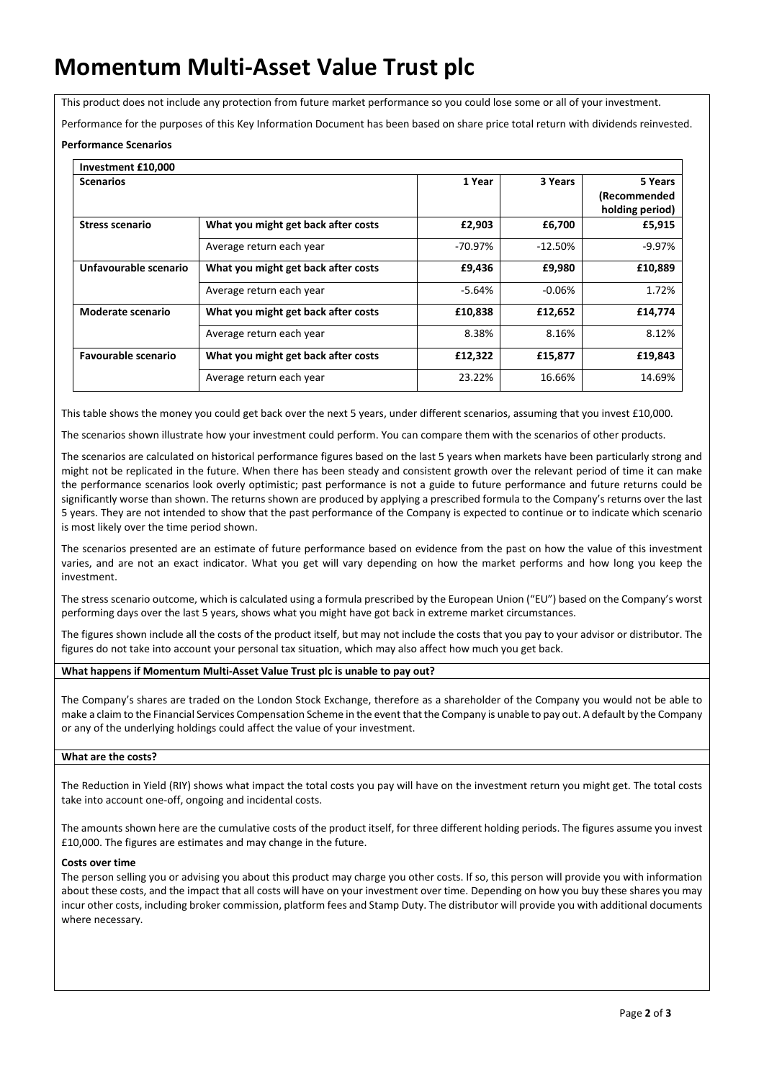# **Momentum Multi-Asset Value Trust plc**

This product does not include any protection from future market performance so you could lose some or all of your investment.

Performance for the purposes of this Key Information Document has been based on share price total return with dividends reinvested.

# **Performance Scenarios**

| Investment £10,000         |                                     |            |           |                                            |
|----------------------------|-------------------------------------|------------|-----------|--------------------------------------------|
| <b>Scenarios</b>           |                                     | 1 Year     | 3 Years   | 5 Years<br>(Recommended<br>holding period) |
| <b>Stress scenario</b>     | What you might get back after costs | £2,903     | £6,700    | £5,915                                     |
|                            | Average return each year            | $-70.97\%$ | $-12.50%$ | $-9.97%$                                   |
| Unfavourable scenario      | What you might get back after costs | £9,436     | £9,980    | £10,889                                    |
|                            | Average return each year            | -5.64%     | $-0.06\%$ | 1.72%                                      |
| Moderate scenario          | What you might get back after costs | £10,838    | £12,652   | £14,774                                    |
|                            | Average return each year            | 8.38%      | 8.16%     | 8.12%                                      |
| <b>Favourable scenario</b> | What you might get back after costs | £12,322    | £15,877   | £19,843                                    |
|                            | Average return each year            | 23.22%     | 16.66%    | 14.69%                                     |

This table shows the money you could get back over the next 5 years, under different scenarios, assuming that you invest £10,000.

The scenarios shown illustrate how your investment could perform. You can compare them with the scenarios of other products.

The scenarios are calculated on historical performance figures based on the last 5 years when markets have been particularly strong and might not be replicated in the future. When there has been steady and consistent growth over the relevant period of time it can make the performance scenarios look overly optimistic; past performance is not a guide to future performance and future returns could be significantly worse than shown. The returns shown are produced by applying a prescribed formula to the Company's returns over the last 5 years. They are not intended to show that the past performance of the Company is expected to continue or to indicate which scenario is most likely over the time period shown.

The scenarios presented are an estimate of future performance based on evidence from the past on how the value of this investment varies, and are not an exact indicator. What you get will vary depending on how the market performs and how long you keep the investment.

The stress scenario outcome, which is calculated using a formula prescribed by the European Union ("EU") based on the Company's worst performing days over the last 5 years, shows what you might have got back in extreme market circumstances.

The figures shown include all the costs of the product itself, but may not include the costs that you pay to your advisor or distributor. The figures do not take into account your personal tax situation, which may also affect how much you get back.

# **What happens if Momentum Multi-Asset Value Trust plc is unable to pay out?**

The Company's shares are traded on the London Stock Exchange, therefore as a shareholder of the Company you would not be able to make a claim to the Financial Services Compensation Scheme in the event that the Company is unable to pay out. A default by the Company or any of the underlying holdings could affect the value of your investment.

# **What are the costs?**

The Reduction in Yield (RIY) shows what impact the total costs you pay will have on the investment return you might get. The total costs take into account one-off, ongoing and incidental costs.

The amounts shown here are the cumulative costs of the product itself, for three different holding periods. The figures assume you invest £10,000. The figures are estimates and may change in the future.

# **Costs over time**

The person selling you or advising you about this product may charge you other costs. If so, this person will provide you with information about these costs, and the impact that all costs will have on your investment over time. Depending on how you buy these shares you may incur other costs, including broker commission, platform fees and Stamp Duty. The distributor will provide you with additional documents where necessary.